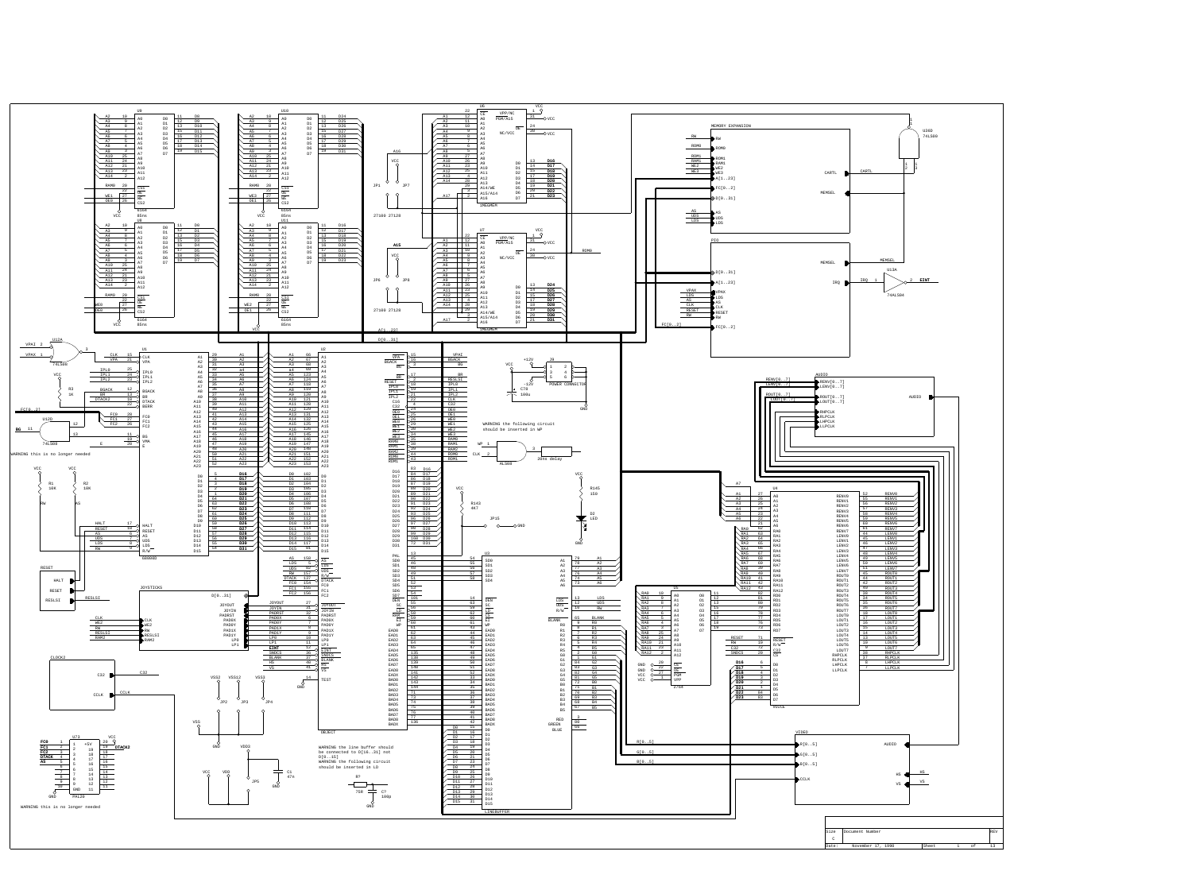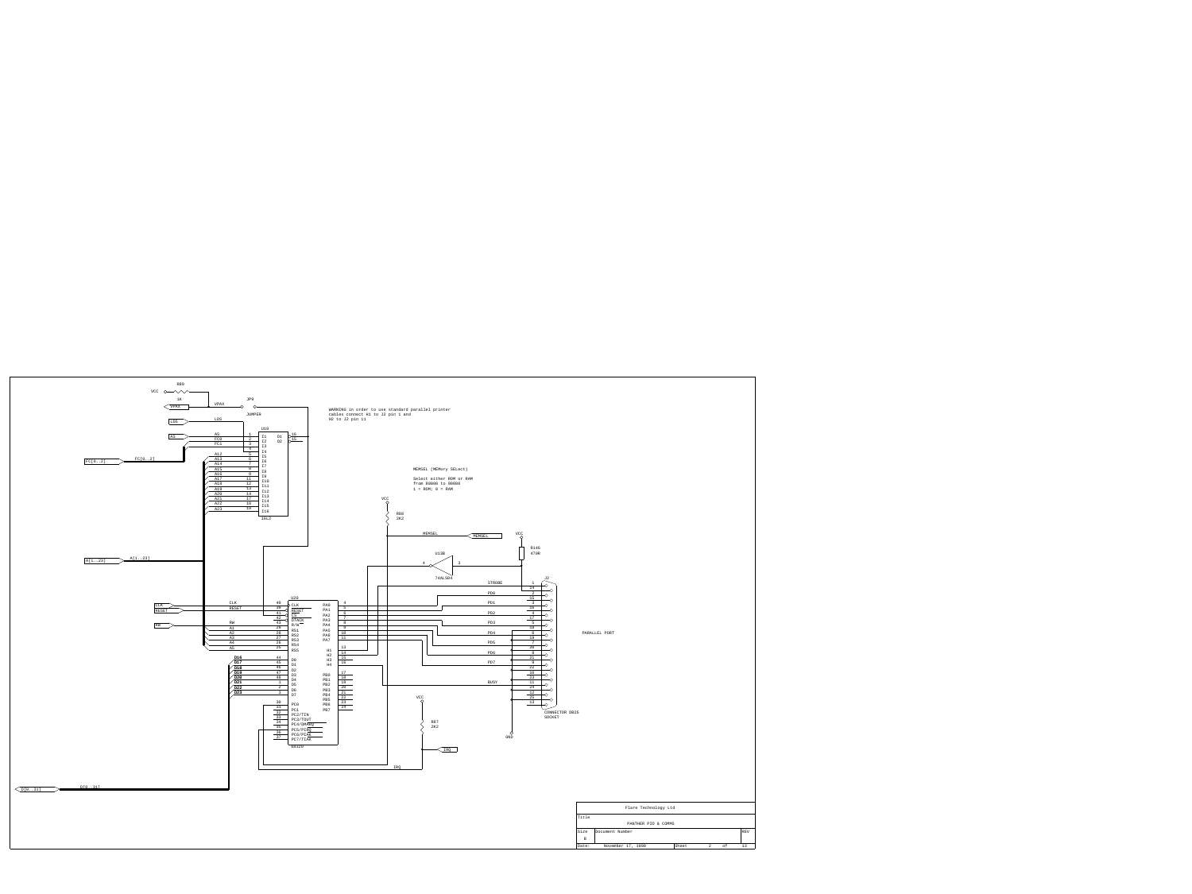| Flare Technology Ltd |                   |       |                |    |            |  |  |  |  |
|----------------------|-------------------|-------|----------------|----|------------|--|--|--|--|
| Title                |                   |       |                |    |            |  |  |  |  |
| PANTHER PIO & COMMS  |                   |       |                |    |            |  |  |  |  |
| Size                 | Document Number   |       |                |    | <b>REV</b> |  |  |  |  |
| B                    |                   |       |                |    |            |  |  |  |  |
| Date:                | November 17, 1990 | Sheet | $\overline{2}$ | оf | 13         |  |  |  |  |
|                      |                   |       |                |    |            |  |  |  |  |

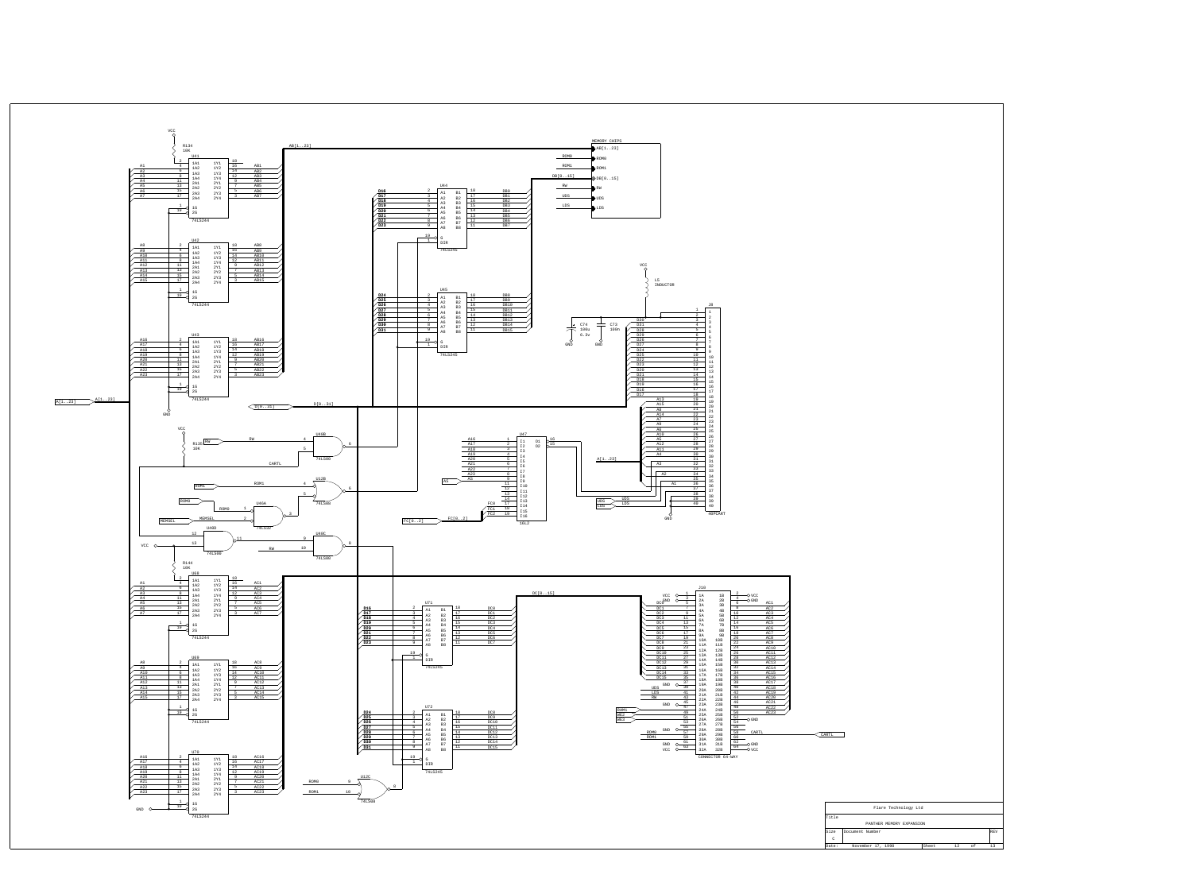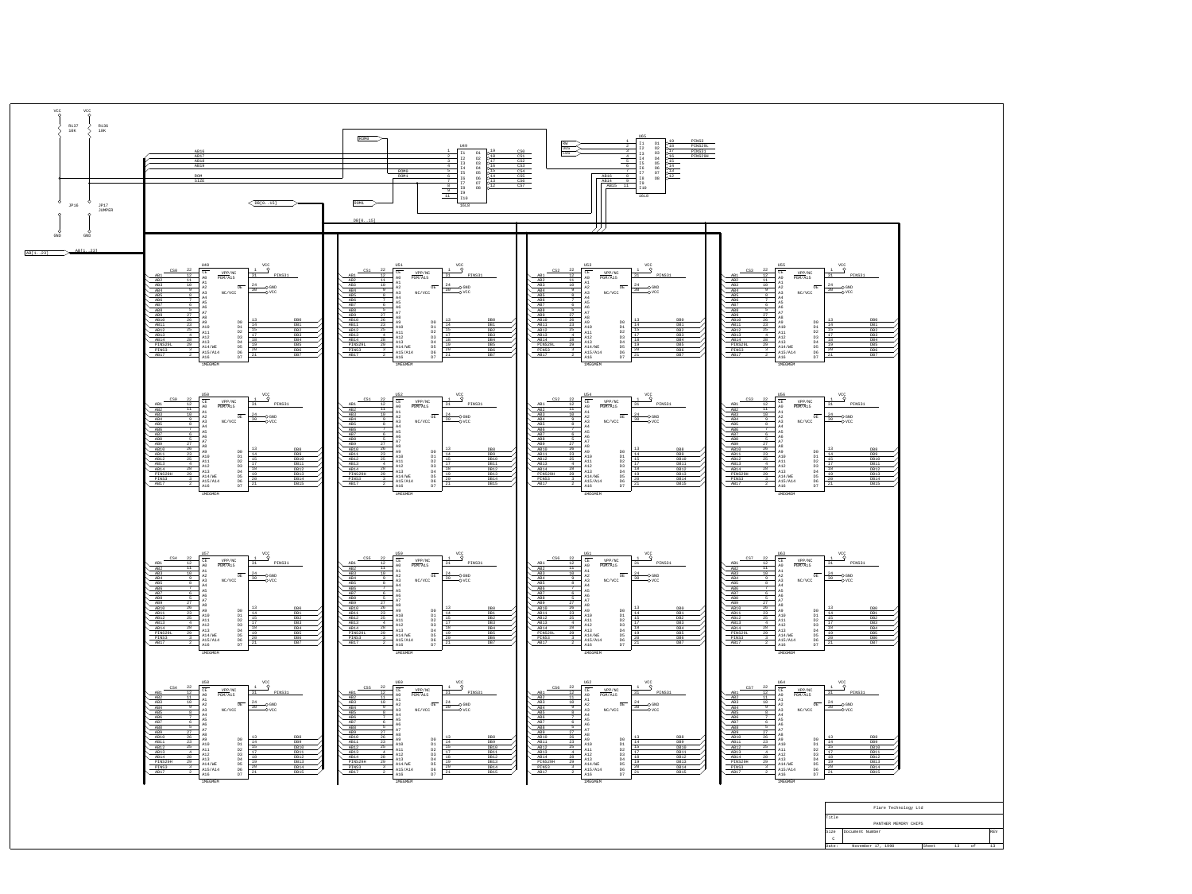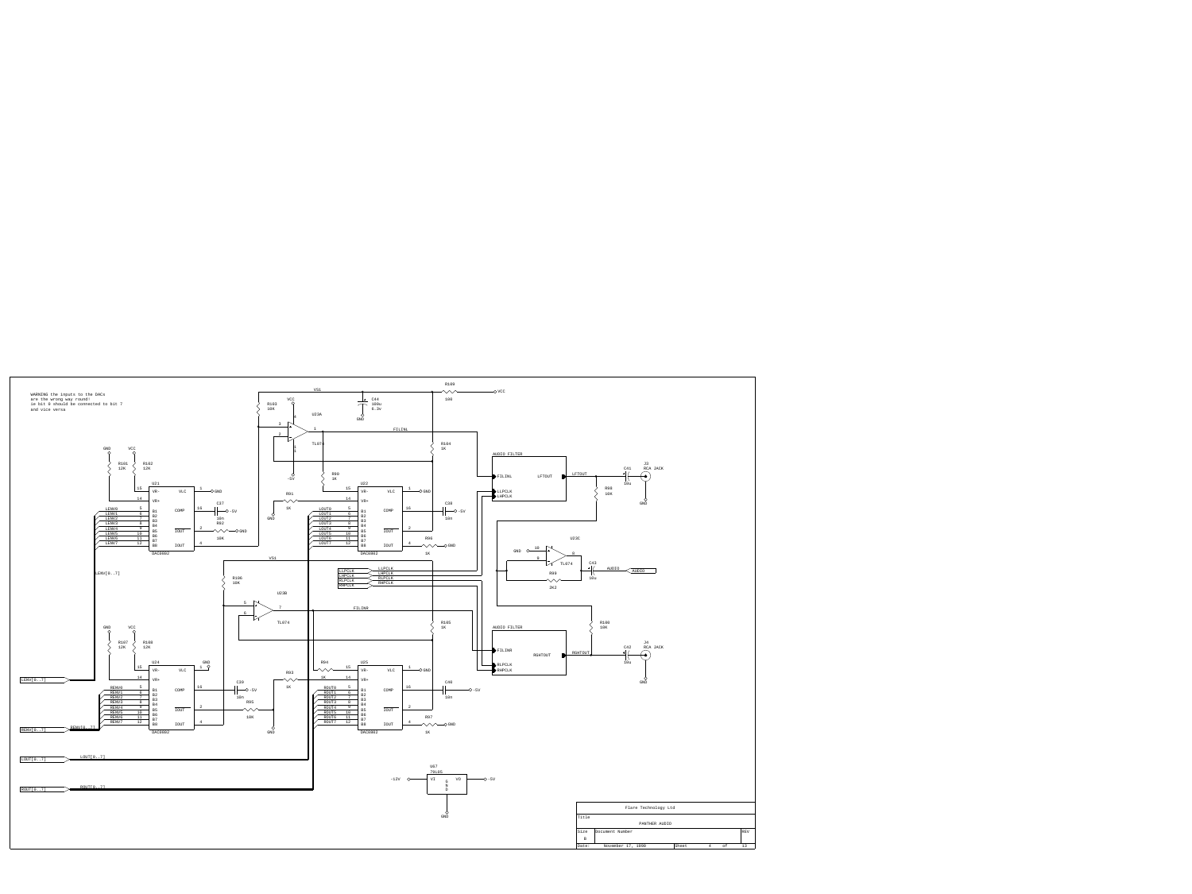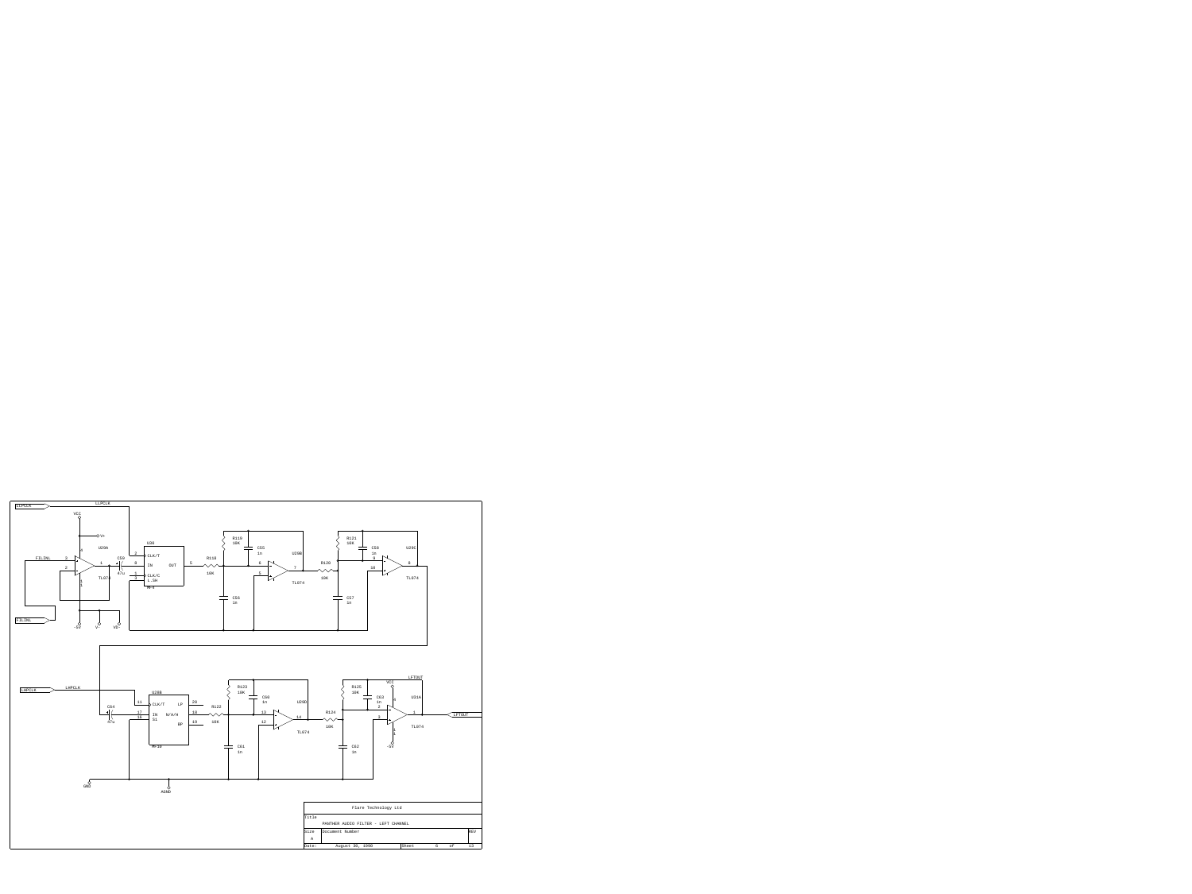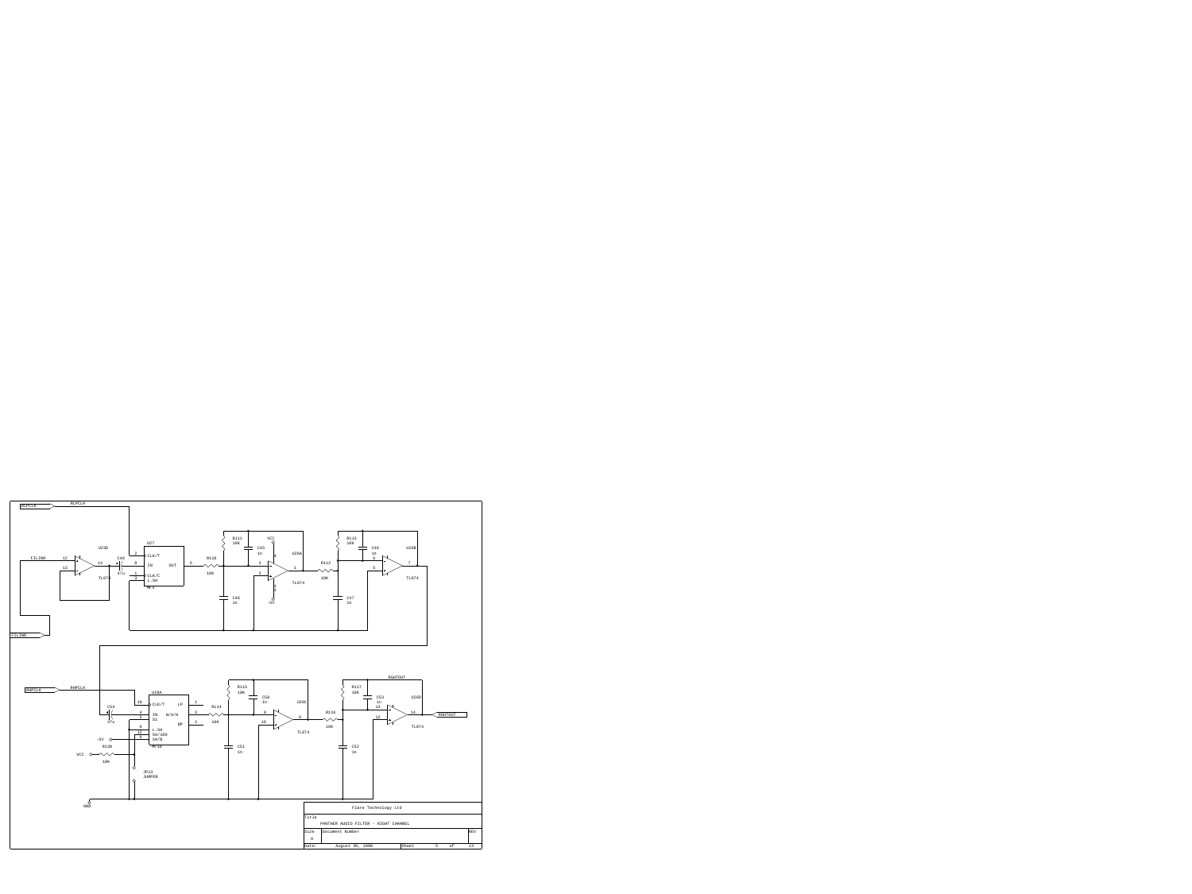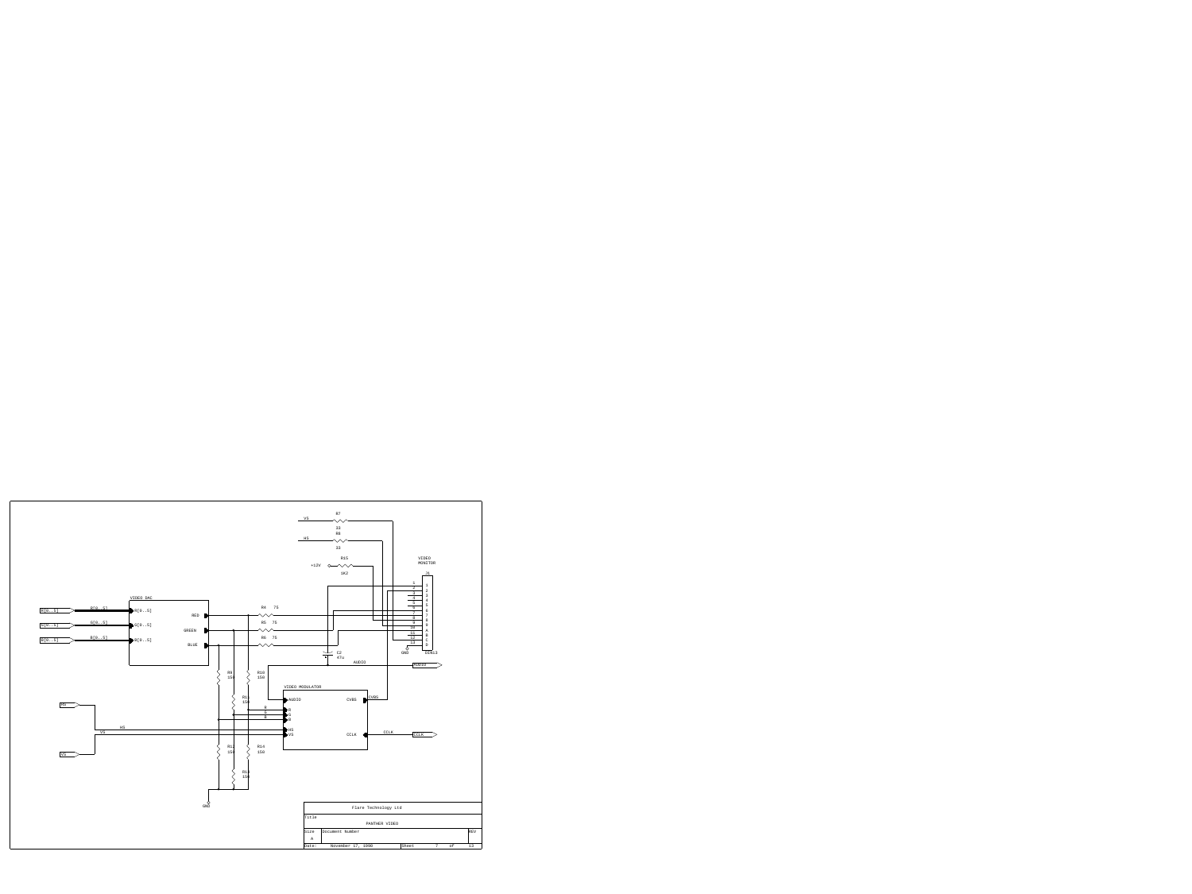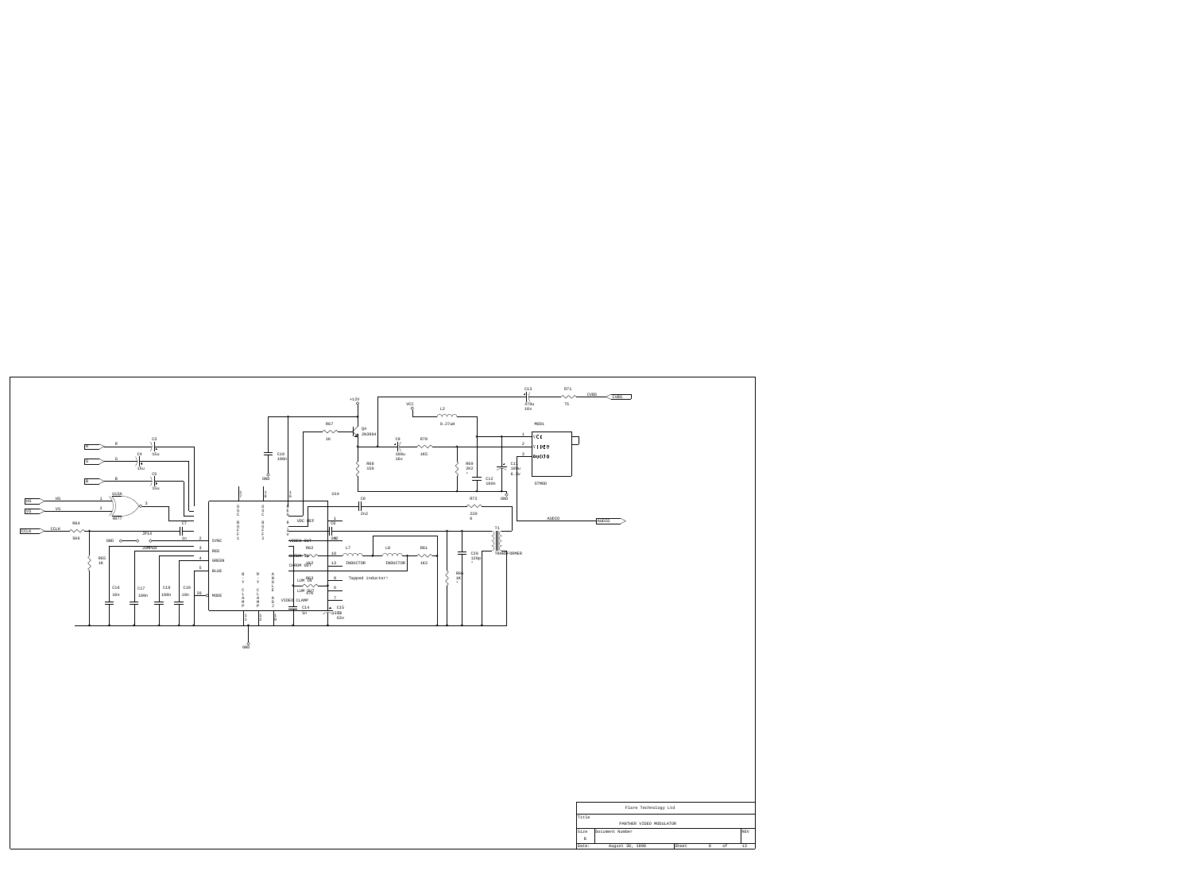| <b>CVBS</b>     | CVBS            |                 |                         |       |   |           |                    |
|-----------------|-----------------|-----------------|-------------------------|-------|---|-----------|--------------------|
|                 |                 |                 |                         |       |   |           |                    |
|                 |                 |                 |                         |       |   |           |                    |
|                 |                 |                 |                         |       |   |           |                    |
|                 |                 |                 |                         |       |   |           |                    |
| ]               |                 |                 |                         |       |   |           |                    |
|                 |                 |                 |                         |       |   |           |                    |
|                 |                 |                 |                         |       |   |           |                    |
|                 |                 |                 |                         |       |   |           |                    |
|                 |                 |                 |                         |       |   |           |                    |
|                 |                 |                 |                         |       |   |           |                    |
|                 |                 |                 |                         |       |   |           |                    |
|                 |                 |                 |                         |       |   |           |                    |
|                 | AUDIO           |                 |                         |       |   |           |                    |
|                 |                 |                 |                         |       |   |           |                    |
|                 |                 |                 |                         |       |   |           |                    |
|                 |                 |                 |                         |       |   |           |                    |
|                 |                 |                 |                         |       |   |           |                    |
|                 |                 |                 |                         |       |   |           |                    |
|                 |                 |                 |                         |       |   |           |                    |
|                 |                 |                 |                         |       |   |           |                    |
|                 |                 |                 |                         |       |   |           |                    |
|                 |                 |                 |                         |       |   |           |                    |
|                 |                 |                 |                         |       |   |           |                    |
|                 |                 |                 |                         |       |   |           |                    |
|                 |                 |                 |                         |       |   |           |                    |
|                 |                 |                 |                         |       |   |           |                    |
|                 |                 |                 |                         |       |   |           |                    |
|                 |                 |                 |                         |       |   |           |                    |
|                 |                 |                 |                         |       |   |           |                    |
|                 |                 |                 |                         |       |   |           |                    |
|                 |                 |                 |                         |       |   |           |                    |
|                 |                 |                 |                         |       |   |           |                    |
|                 |                 |                 |                         |       |   |           |                    |
|                 |                 |                 |                         |       |   |           |                    |
|                 |                 |                 |                         |       |   |           |                    |
|                 |                 |                 |                         |       |   |           |                    |
|                 |                 |                 |                         |       |   |           |                    |
|                 |                 |                 |                         |       |   |           |                    |
|                 |                 |                 |                         |       |   |           |                    |
|                 |                 |                 |                         |       |   |           |                    |
|                 |                 |                 |                         |       |   |           |                    |
|                 |                 |                 |                         |       |   |           |                    |
|                 |                 |                 | Flare Technology Ltd    |       |   |           |                    |
| Title           |                 |                 |                         |       |   |           |                    |
|                 |                 |                 | PANTHER VIDEO MODULATOR |       |   |           |                    |
| Size            | Document Number |                 |                         |       |   |           | $\mathop{\rm REV}$ |
| $\,$ B<br>Date: |                 | August 30, 1990 |                         | Sheet | 8 | $\circ$ f | 13                 |
|                 |                 |                 |                         |       |   |           |                    |

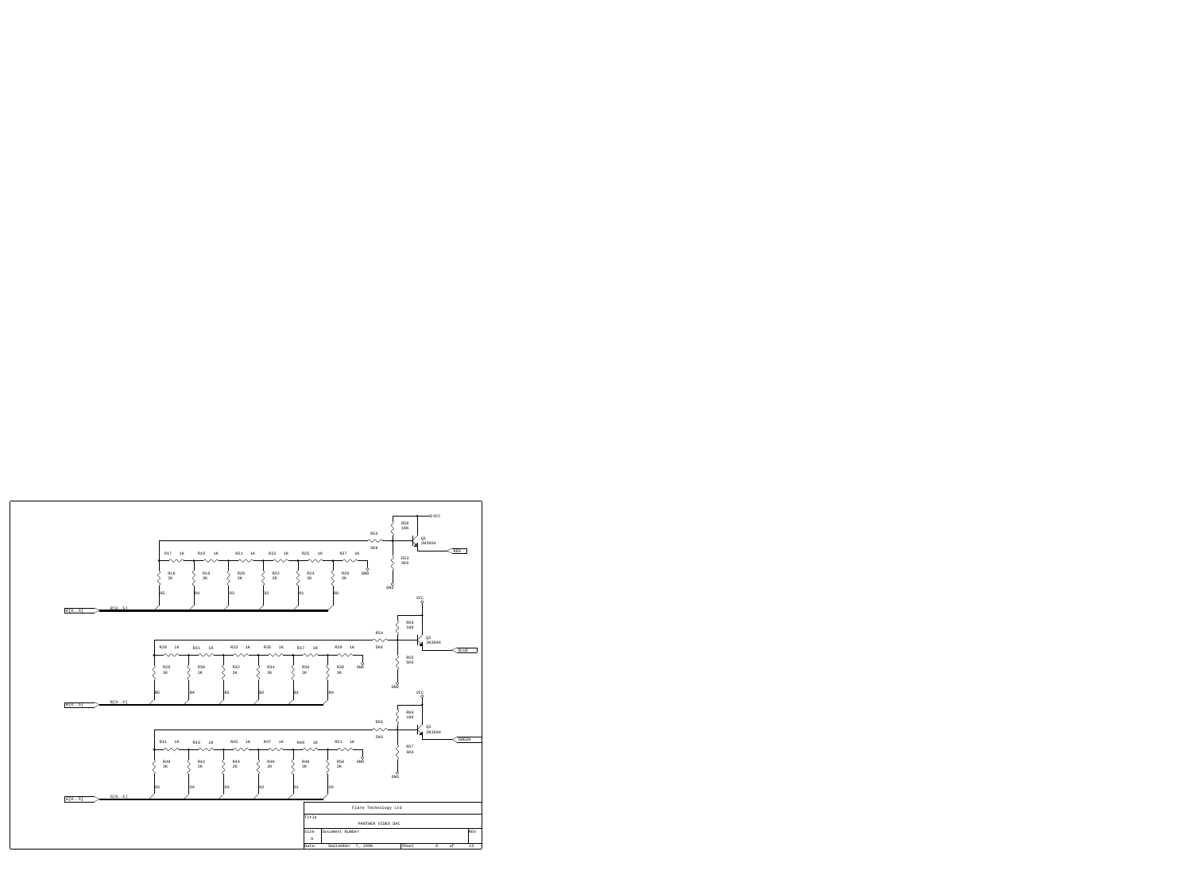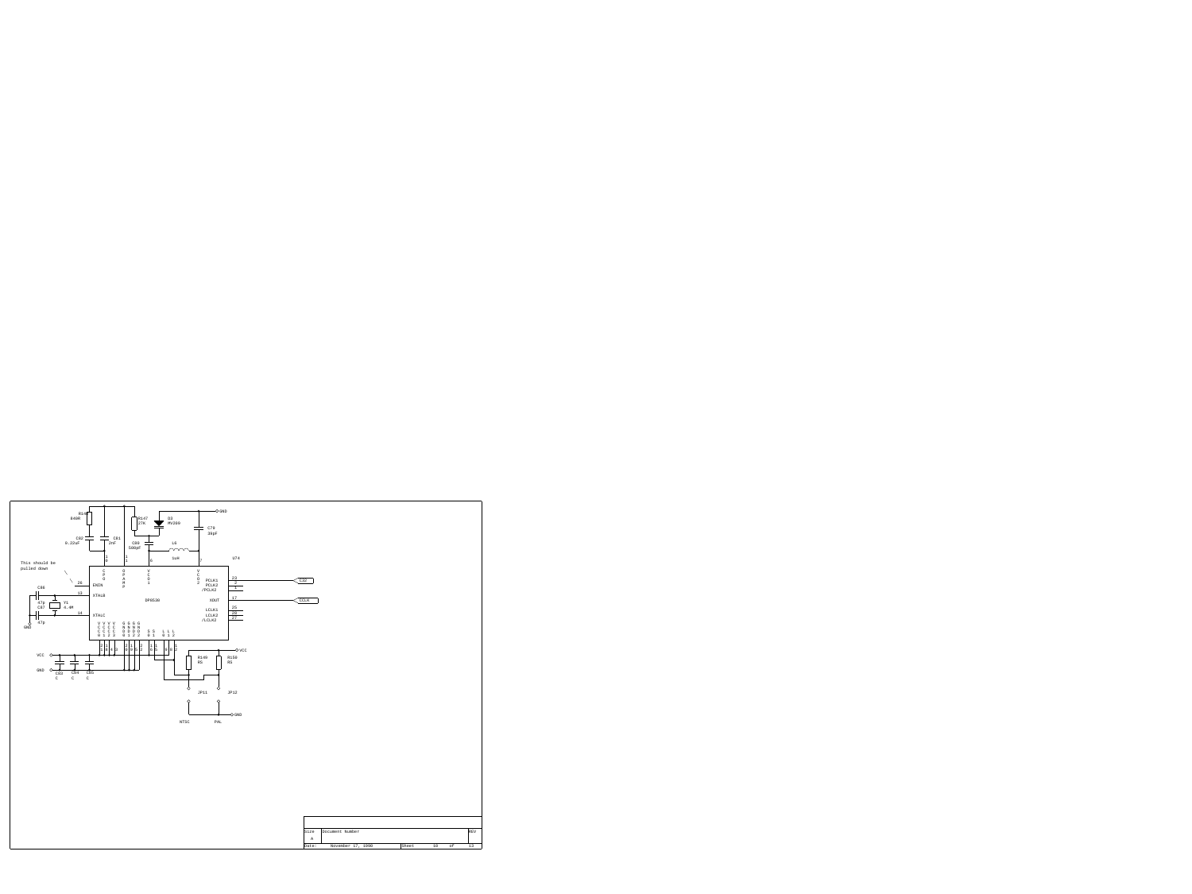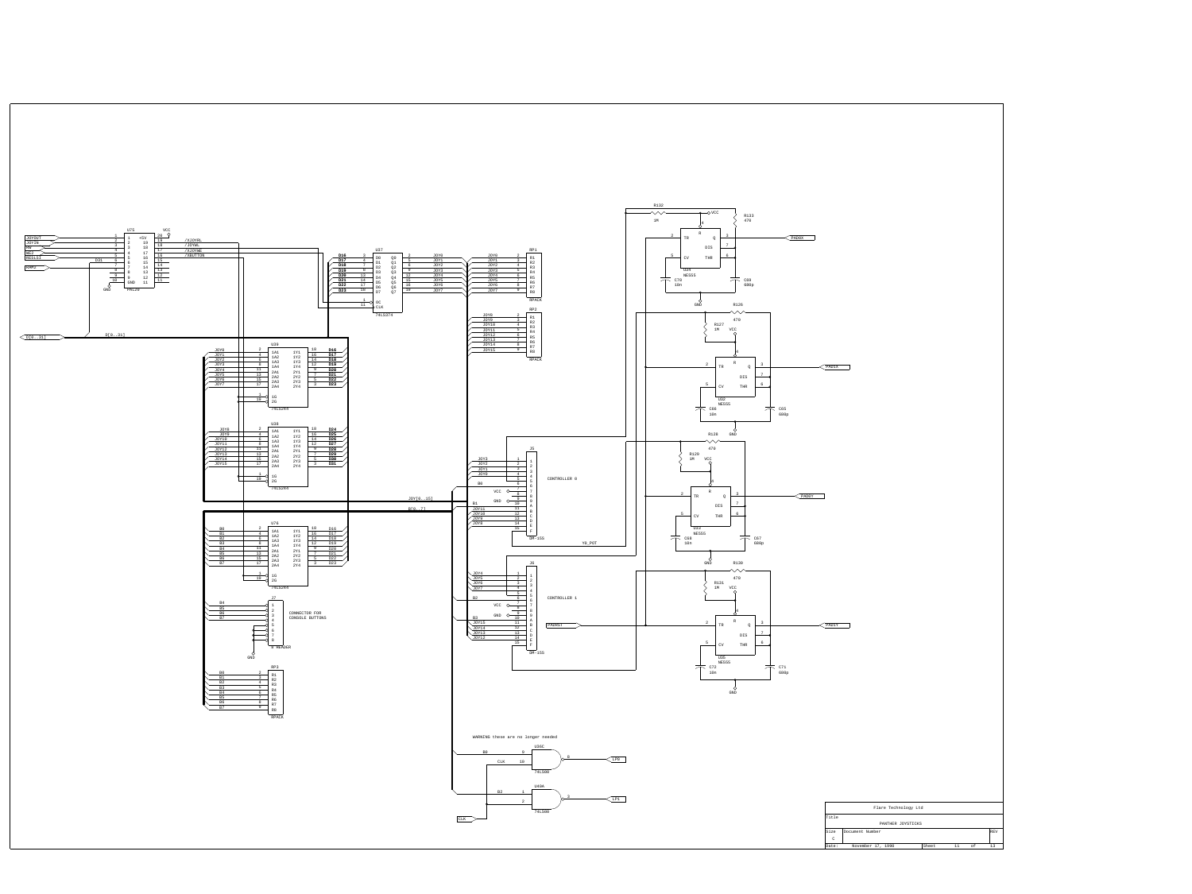